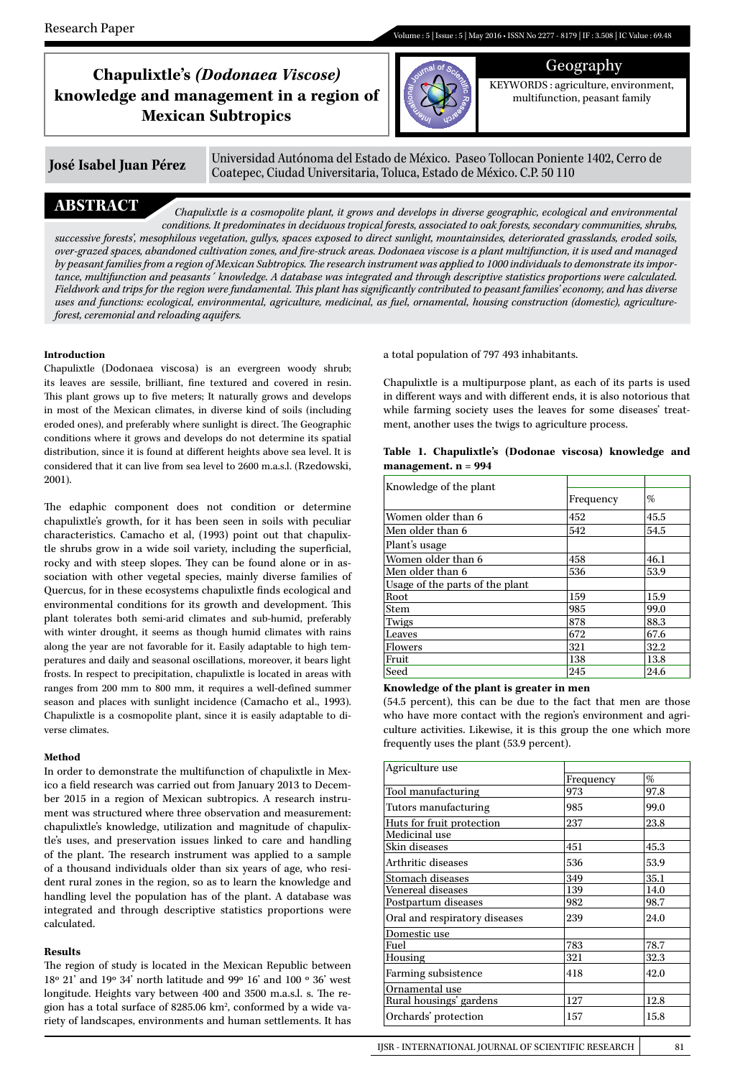# Geography **Chapulixtle's** *(Dodonaea Viscose)*  **knowledge and management in a region of Mexican Subtropics**



KEYWORDS : agriculture, environment, multifunction, peasant family

**José Isabel Juan Pérez** Universidad Autónoma del Estado de México. Paseo Tollocan Poniente 1402, Cerro de Coatepec, Ciudad Universitaria, Toluca, Estado de México. C.P. 50 110

**ABSTRACT** *Chapulixtle is a cosmopolite plant, it grows and develops in diverse geographic, ecological and environmental conditions. It predominates in deciduous tropical forests, associated to oak forests, secondary communities, shrubs, successive forests', mesophilous vegetation, gullys, spaces exposed to direct sunlight, mountainsides, deteriorated grasslands, eroded soils, over-grazed spaces, abandoned cultivation zones, and fire-struck areas. Dodonaea viscose is a plant multifunction, it is used and managed by peasant families from a region of Mexican Subtropics. The research instrument was applied to 1000 individuals to demonstrate its importance, multifunction and peasants´ knowledge. A database was integrated and through descriptive statistics proportions were calculated. Fieldwork and trips for the region were fundamental. This plant has significantly contributed to peasant families' economy, and has diverse uses and functions: ecological, environmental, agriculture, medicinal, as fuel, ornamental, housing construction (domestic), agricultureforest, ceremonial and reloading aquifers.* 

# **Introduction**

Chapulixtle (Dodonaea viscosa) is an evergreen woody shrub; its leaves are sessile, brilliant, fine textured and covered in resin. This plant grows up to five meters; It naturally grows and develops in most of the Mexican climates, in diverse kind of soils (including eroded ones), and preferably where sunlight is direct. The Geographic conditions where it grows and develops do not determine its spatial distribution, since it is found at different heights above sea level. It is considered that it can live from sea level to 2600 m.a.s.l. (Rzedowski, 2001).

The edaphic component does not condition or determine chapulixtle's growth, for it has been seen in soils with peculiar characteristics. Camacho et al, (1993) point out that chapulixtle shrubs grow in a wide soil variety, including the superficial, rocky and with steep slopes. They can be found alone or in association with other vegetal species, mainly diverse families of Quercus, for in these ecosystems chapulixtle finds ecological and environmental conditions for its growth and development. This plant tolerates both semi-arid climates and sub-humid, preferably with winter drought, it seems as though humid climates with rains along the year are not favorable for it. Easily adaptable to high temperatures and daily and seasonal oscillations, moreover, it bears light frosts. In respect to precipitation, chapulixtle is located in areas with ranges from 200 mm to 800 mm, it requires a well-defined summer season and places with sunlight incidence (Camacho et al., 1993). Chapulixtle is a cosmopolite plant, since it is easily adaptable to diverse climates.

# **Method**

In order to demonstrate the multifunction of chapulixtle in Mexico a field research was carried out from January 2013 to December 2015 in a region of Mexican subtropics. A research instrument was structured where three observation and measurement: chapulixtle's knowledge, utilization and magnitude of chapulixtle's uses, and preservation issues linked to care and handling of the plant. The research instrument was applied to a sample of a thousand individuals older than six years of age, who resident rural zones in the region, so as to learn the knowledge and handling level the population has of the plant. A database was integrated and through descriptive statistics proportions were calculated.

# **Results**

The region of study is located in the Mexican Republic between  $18^{\rm o}$  21' and 19° 34' north latitude and 99° 16' and 100 ° 36' west longitude. Heights vary between 400 and 3500 m.a.s.l. s. The region has a total surface of 8285.06 km2 , conformed by a wide variety of landscapes, environments and human settlements. It has a total population of 797 493 inhabitants.

Chapulixtle is a multipurpose plant, as each of its parts is used in different ways and with different ends, it is also notorious that while farming society uses the leaves for some diseases' treatment, another uses the twigs to agriculture process.

|  | Table 1. Chapulixtle's (Dodonae viscosa) knowledge and |  |  |
|--|--------------------------------------------------------|--|--|
|  | management. $n = 994$                                  |  |  |

| Knowledge of the plant          |           |      |
|---------------------------------|-----------|------|
|                                 | Frequency | %    |
| Women older than 6              | 452       | 45.5 |
| Men older than 6                | 542       | 54.5 |
| Plant's usage                   |           |      |
| Women older than 6              | 458       | 46.1 |
| Men older than 6                | 536       | 53.9 |
| Usage of the parts of the plant |           |      |
| Root.                           | 159       | 15.9 |
| Stem                            | 985       | 99.0 |
| Twigs                           | 878       | 88.3 |
| Leaves                          | 672       | 67.6 |
| Flowers                         | 321       | 32.2 |
| Fruit                           | 138       | 13.8 |
| Seed                            | 245       | 24.6 |

### **Knowledge of the plant is greater in men**

(54.5 percent), this can be due to the fact that men are those who have more contact with the region's environment and agriculture activities. Likewise, it is this group the one which more frequently uses the plant (53.9 percent).

| Agriculture use               |           |      |
|-------------------------------|-----------|------|
|                               | Frequency | %    |
| Tool manufacturing            | 973       | 97.8 |
| Tutors manufacturing          | 985       | 99.0 |
| Huts for fruit protection     | 237       | 23.8 |
| Medicinal use                 |           |      |
| Skin diseases                 | 451       | 45.3 |
| Arthritic diseases            | 536       | 53.9 |
| Stomach diseases              | 349       | 35.1 |
| Venereal diseases             | 139       | 14.0 |
| Postpartum diseases           | 982       | 98.7 |
| Oral and respiratory diseases | 239       | 24.0 |
| Domestic use                  |           |      |
| Fuel                          | 783       | 78.7 |
| Housing                       | 321       | 32.3 |
| Farming subsistence           | 418       | 42.0 |
| Ornamental use                |           |      |
| Rural housings' gardens       | 127       | 12.8 |
| Orchards' protection          | 157       | 15.8 |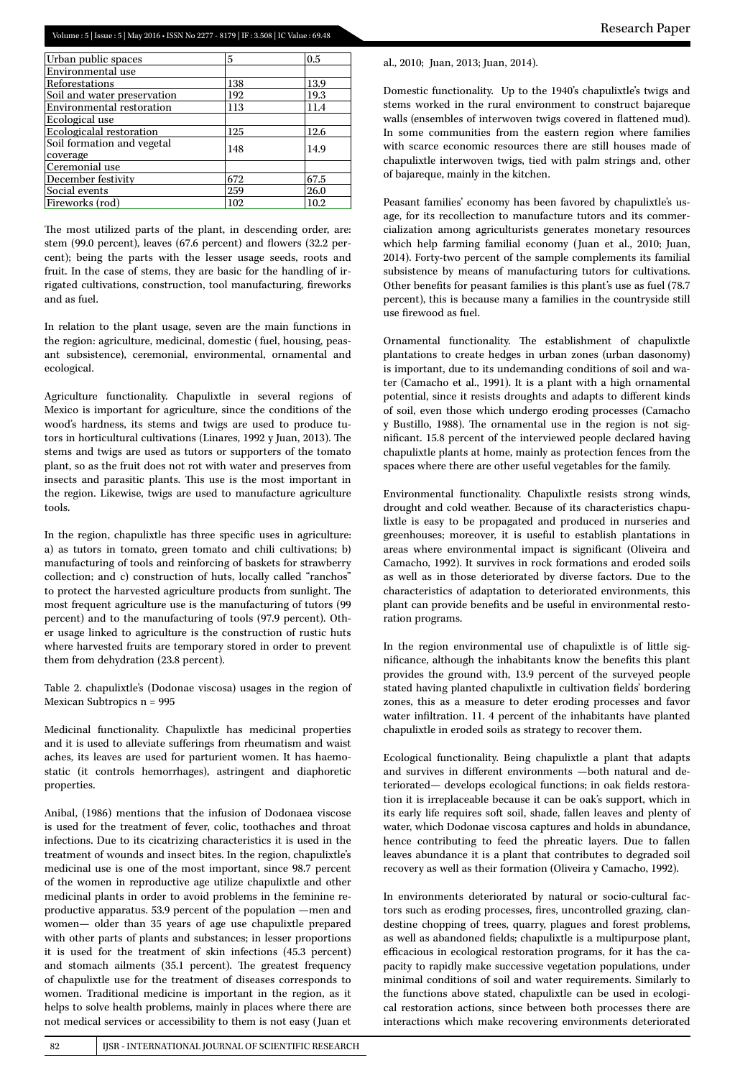| 5   | 0.5  |
|-----|------|
|     |      |
| 138 | 13.9 |
| 192 | 19.3 |
| 113 | 11.4 |
|     |      |
| 125 | 12.6 |
| 148 | 14.9 |
|     |      |
| 672 | 67.5 |
| 259 | 26.0 |
| 102 | 10.2 |
|     |      |

The most utilized parts of the plant, in descending order, are: stem (99.0 percent), leaves (67.6 percent) and flowers (32.2 percent); being the parts with the lesser usage seeds, roots and fruit. In the case of stems, they are basic for the handling of irrigated cultivations, construction, tool manufacturing, fireworks and as fuel.

In relation to the plant usage, seven are the main functions in the region: agriculture, medicinal, domestic ( fuel, housing, peasant subsistence), ceremonial, environmental, ornamental and ecological.

Agriculture functionality. Chapulixtle in several regions of Mexico is important for agriculture, since the conditions of the wood's hardness, its stems and twigs are used to produce tutors in horticultural cultivations (Linares, 1992 y Juan, 2013). The stems and twigs are used as tutors or supporters of the tomato plant, so as the fruit does not rot with water and preserves from insects and parasitic plants. This use is the most important in the region. Likewise, twigs are used to manufacture agriculture tools.

In the region, chapulixtle has three specific uses in agriculture: a) as tutors in tomato, green tomato and chili cultivations; b) manufacturing of tools and reinforcing of baskets for strawberry collection; and c) construction of huts, locally called "ranchos" to protect the harvested agriculture products from sunlight. The most frequent agriculture use is the manufacturing of tutors (99 percent) and to the manufacturing of tools (97.9 percent). Other usage linked to agriculture is the construction of rustic huts where harvested fruits are temporary stored in order to prevent them from dehydration (23.8 percent).

Table 2. chapulixtle's (Dodonae viscosa) usages in the region of Mexican Subtropics n = 995

Medicinal functionality. Chapulixtle has medicinal properties and it is used to alleviate sufferings from rheumatism and waist aches, its leaves are used for parturient women. It has haemostatic (it controls hemorrhages), astringent and diaphoretic properties.

Anibal, (1986) mentions that the infusion of Dodonaea viscose is used for the treatment of fever, colic, toothaches and throat infections. Due to its cicatrizing characteristics it is used in the treatment of wounds and insect bites. In the region, chapulixtle's medicinal use is one of the most important, since 98.7 percent of the women in reproductive age utilize chapulixtle and other medicinal plants in order to avoid problems in the feminine reproductive apparatus. 53.9 percent of the population —men and women— older than 35 years of age use chapulixtle prepared with other parts of plants and substances; in lesser proportions it is used for the treatment of skin infections (45.3 percent) and stomach ailments (35.1 percent). The greatest frequency of chapulixtle use for the treatment of diseases corresponds to women. Traditional medicine is important in the region, as it helps to solve health problems, mainly in places where there are not medical services or accessibility to them is not easy (Juan et al., 2010; Juan, 2013; Juan, 2014).

Domestic functionality. Up to the 1940's chapulixtle's twigs and stems worked in the rural environment to construct bajareque walls (ensembles of interwoven twigs covered in flattened mud). In some communities from the eastern region where families with scarce economic resources there are still houses made of chapulixtle interwoven twigs, tied with palm strings and, other of bajareque, mainly in the kitchen.

Peasant families' economy has been favored by chapulixtle's usage, for its recollection to manufacture tutors and its commercialization among agriculturists generates monetary resources which help farming familial economy (Juan et al., 2010; Juan, 2014). Forty-two percent of the sample complements its familial subsistence by means of manufacturing tutors for cultivations. Other benefits for peasant families is this plant's use as fuel (78.7 percent), this is because many a families in the countryside still use firewood as fuel.

Ornamental functionality. The establishment of chapulixtle plantations to create hedges in urban zones (urban dasonomy) is important, due to its undemanding conditions of soil and water (Camacho et al., 1991). It is a plant with a high ornamental potential, since it resists droughts and adapts to different kinds of soil, even those which undergo eroding processes (Camacho y Bustillo, 1988). The ornamental use in the region is not significant. 15.8 percent of the interviewed people declared having chapulixtle plants at home, mainly as protection fences from the spaces where there are other useful vegetables for the family.

Environmental functionality. Chapulixtle resists strong winds, drought and cold weather. Because of its characteristics chapulixtle is easy to be propagated and produced in nurseries and greenhouses; moreover, it is useful to establish plantations in areas where environmental impact is significant (Oliveira and Camacho, 1992). It survives in rock formations and eroded soils as well as in those deteriorated by diverse factors. Due to the characteristics of adaptation to deteriorated environments, this plant can provide benefits and be useful in environmental restoration programs.

In the region environmental use of chapulixtle is of little significance, although the inhabitants know the benefits this plant provides the ground with, 13.9 percent of the surveyed people stated having planted chapulixtle in cultivation fields' bordering zones, this as a measure to deter eroding processes and favor water infiltration. 11. 4 percent of the inhabitants have planted chapulixtle in eroded soils as strategy to recover them.

Ecological functionality. Being chapulixtle a plant that adapts and survives in different environments —both natural and deteriorated— develops ecological functions; in oak fields restoration it is irreplaceable because it can be oak's support, which in its early life requires soft soil, shade, fallen leaves and plenty of water, which Dodonae viscosa captures and holds in abundance, hence contributing to feed the phreatic layers. Due to fallen leaves abundance it is a plant that contributes to degraded soil recovery as well as their formation (Oliveira y Camacho, 1992).

In environments deteriorated by natural or socio-cultural factors such as eroding processes, fires, uncontrolled grazing, clandestine chopping of trees, quarry, plagues and forest problems, as well as abandoned fields; chapulixtle is a multipurpose plant, efficacious in ecological restoration programs, for it has the capacity to rapidly make successive vegetation populations, under minimal conditions of soil and water requirements. Similarly to the functions above stated, chapulixtle can be used in ecological restoration actions, since between both processes there are interactions which make recovering environments deteriorated